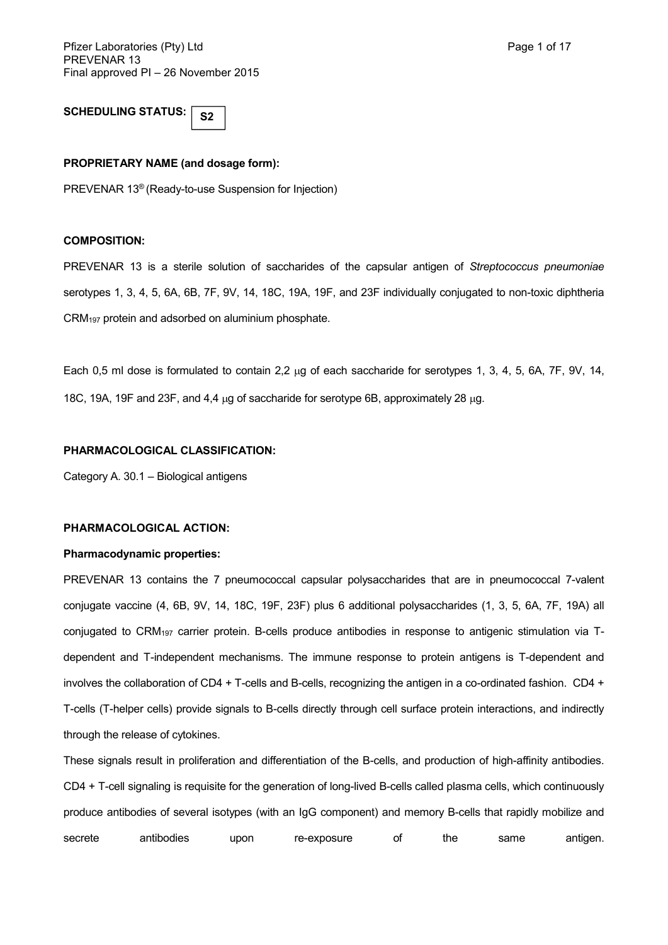#### **SCHEDULING STATUS: S2**

### **PROPRIETARY NAME (and dosage form):**

PREVENAR 13® (Ready-to-use Suspension for Injection)

### **COMPOSITION:**

PREVENAR 13 is a sterile solution of saccharides of the capsular antigen of *Streptococcus pneumoniae* serotypes 1, 3, 4, 5, 6A, 6B, 7F, 9V, 14, 18C, 19A, 19F, and 23F individually conjugated to non-toxic diphtheria CRM<sup>197</sup> protein and adsorbed on aluminium phosphate.

Each 0,5 ml dose is formulated to contain 2,2  $\mu$ g of each saccharide for serotypes 1, 3, 4, 5, 6A, 7F, 9V, 14, 18C, 19A, 19F and 23F, and 4,4  $\mu$ g of saccharide for serotype 6B, approximately 28  $\mu$ g.

#### **PHARMACOLOGICAL CLASSIFICATION:**

Category A. 30.1 – Biological antigens

### **PHARMACOLOGICAL ACTION:**

#### **Pharmacodynamic properties:**

PREVENAR 13 contains the 7 pneumococcal capsular polysaccharides that are in pneumococcal 7-valent conjugate vaccine (4, 6B, 9V, 14, 18C, 19F, 23F) plus 6 additional polysaccharides (1, 3, 5, 6A, 7F, 19A) all conjugated to CRM<sup>197</sup> carrier protein. B-cells produce antibodies in response to antigenic stimulation via Tdependent and T-independent mechanisms. The immune response to protein antigens is T-dependent and involves the collaboration of CD4 + T-cells and B-cells, recognizing the antigen in a co-ordinated fashion. CD4 + T-cells (T-helper cells) provide signals to B-cells directly through cell surface protein interactions, and indirectly through the release of cytokines.

These signals result in proliferation and differentiation of the B-cells, and production of high-affinity antibodies. CD4 + T-cell signaling is requisite for the generation of long-lived B-cells called plasma cells, which continuously produce antibodies of several isotypes (with an IgG component) and memory B-cells that rapidly mobilize and secrete antibodies upon re-exposure of the same antigen.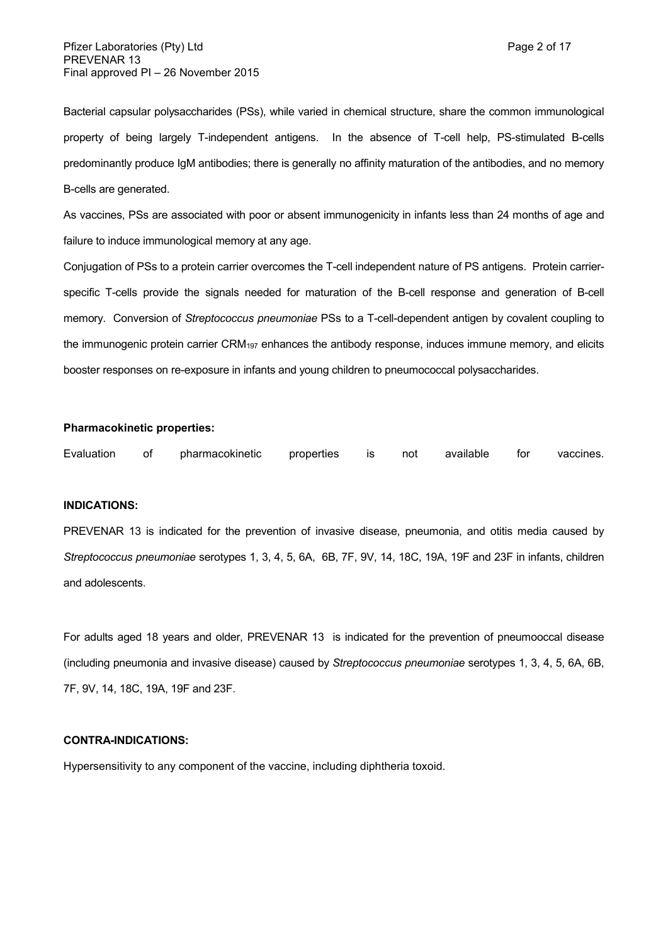Bacterial capsular polysaccharides (PSs), while varied in chemical structure, share the common immunological property of being largely T-independent antigens. In the absence of T-cell help, PS-stimulated B-cells predominantly produce IgM antibodies; there is generally no affinity maturation of the antibodies, and no memory B-cells are generated.

As vaccines, PSs are associated with poor or absent immunogenicity in infants less than 24 months of age and failure to induce immunological memory at any age.

Conjugation of PSs to a protein carrier overcomes the T-cell independent nature of PS antigens. Protein carrierspecific T-cells provide the signals needed for maturation of the B-cell response and generation of B-cell memory. Conversion of *Streptococcus pneumoniae* PSs to a T-cell-dependent antigen by covalent coupling to the immunogenic protein carrier CRM<sup>197</sup> enhances the antibody response, induces immune memory, and elicits booster responses on re-exposure in infants and young children to pneumococcal polysaccharides.

#### **Pharmacokinetic properties:**

Evaluation of pharmacokinetic properties is not available for vaccines.

#### **INDICATIONS:**

PREVENAR 13 is indicated for the prevention of invasive disease, pneumonia, and otitis media caused by *Streptococcus pneumoniae* serotypes 1, 3, 4, 5, 6A, 6B, 7F, 9V, 14, 18C, 19A, 19F and 23F in infants, children and adolescents.

For adults aged 18 years and older, PREVENAR 13 is indicated for the prevention of pneumooccal disease (including pneumonia and invasive disease) caused by *Streptococcus pneumoniae* serotypes 1, 3, 4, 5, 6A, 6B, 7F, 9V, 14, 18C, 19A, 19F and 23F.

#### **CONTRA-INDICATIONS:**

Hypersensitivity to any component of the vaccine, including diphtheria toxoid.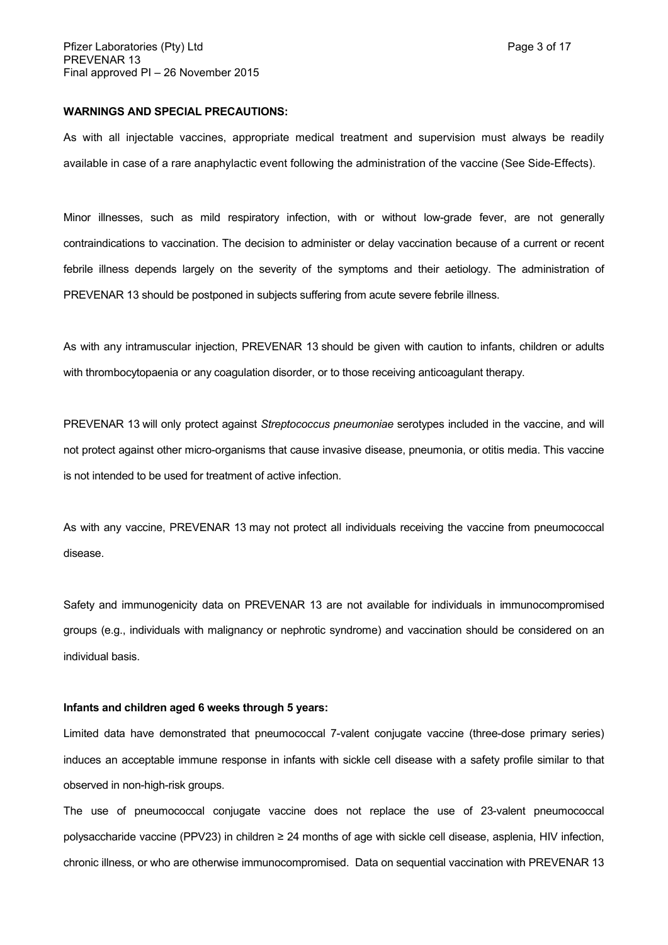#### **WARNINGS AND SPECIAL PRECAUTIONS:**

As with all injectable vaccines, appropriate medical treatment and supervision must always be readily available in case of a rare anaphylactic event following the administration of the vaccine (See Side-Effects).

Minor illnesses, such as mild respiratory infection, with or without low-grade fever, are not generally contraindications to vaccination. The decision to administer or delay vaccination because of a current or recent febrile illness depends largely on the severity of the symptoms and their aetiology. The administration of PREVENAR 13 should be postponed in subjects suffering from acute severe febrile illness.

As with any intramuscular injection, PREVENAR 13 should be given with caution to infants, children or adults with thrombocytopaenia or any coagulation disorder, or to those receiving anticoagulant therapy.

PREVENAR 13 will only protect against *Streptococcus pneumoniae* serotypes included in the vaccine, and will not protect against other micro-organisms that cause invasive disease, pneumonia, or otitis media. This vaccine is not intended to be used for treatment of active infection.

As with any vaccine, PREVENAR 13 may not protect all individuals receiving the vaccine from pneumococcal disease.

Safety and immunogenicity data on PREVENAR 13 are not available for individuals in immunocompromised groups (e.g., individuals with malignancy or nephrotic syndrome) and vaccination should be considered on an individual basis.

### **Infants and children aged 6 weeks through 5 years:**

Limited data have demonstrated that pneumococcal 7-valent conjugate vaccine (three-dose primary series) induces an acceptable immune response in infants with sickle cell disease with a safety profile similar to that observed in non-high-risk groups.

The use of pneumococcal conjugate vaccine does not replace the use of 23-valent pneumococcal polysaccharide vaccine (PPV23) in children ≥ 24 months of age with sickle cell disease, asplenia, HIV infection, chronic illness, or who are otherwise immunocompromised. Data on sequential vaccination with PREVENAR 13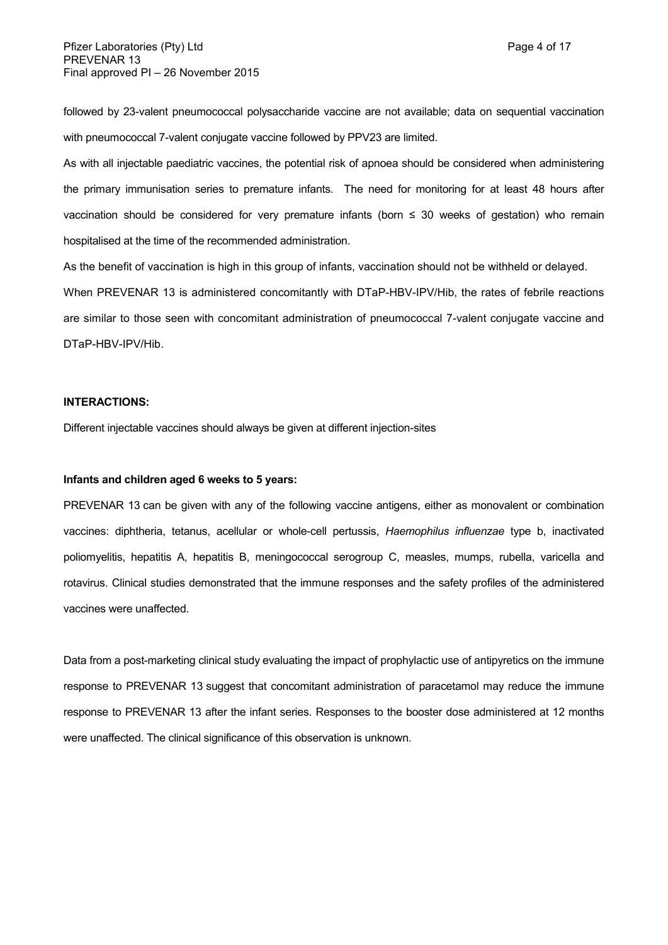followed by 23-valent pneumococcal polysaccharide vaccine are not available; data on sequential vaccination with pneumococcal 7-valent conjugate vaccine followed by PPV23 are limited.

As with all injectable paediatric vaccines, the potential risk of apnoea should be considered when administering the primary immunisation series to premature infants. The need for monitoring for at least 48 hours after vaccination should be considered for very premature infants (born ≤ 30 weeks of gestation) who remain hospitalised at the time of the recommended administration.

As the benefit of vaccination is high in this group of infants, vaccination should not be withheld or delayed.

When PREVENAR 13 is administered concomitantly with DTaP-HBV-IPV/Hib, the rates of febrile reactions are similar to those seen with concomitant administration of pneumococcal 7-valent conjugate vaccine and DTaP-HBV-IPV/Hib.

### **INTERACTIONS:**

Different injectable vaccines should always be given at different injection-sites

#### **Infants and children aged 6 weeks to 5 years:**

PREVENAR 13 can be given with any of the following vaccine antigens, either as monovalent or combination vaccines: diphtheria, tetanus, acellular or whole-cell pertussis, *Haemophilus influenzae* type b, inactivated poliomyelitis, hepatitis A, hepatitis B, meningococcal serogroup C, measles, mumps, rubella, varicella and rotavirus. Clinical studies demonstrated that the immune responses and the safety profiles of the administered vaccines were unaffected.

Data from a post-marketing clinical study evaluating the impact of prophylactic use of antipyretics on the immune response to PREVENAR 13 suggest that concomitant administration of paracetamol may reduce the immune response to PREVENAR 13 after the infant series. Responses to the booster dose administered at 12 months were unaffected. The clinical significance of this observation is unknown.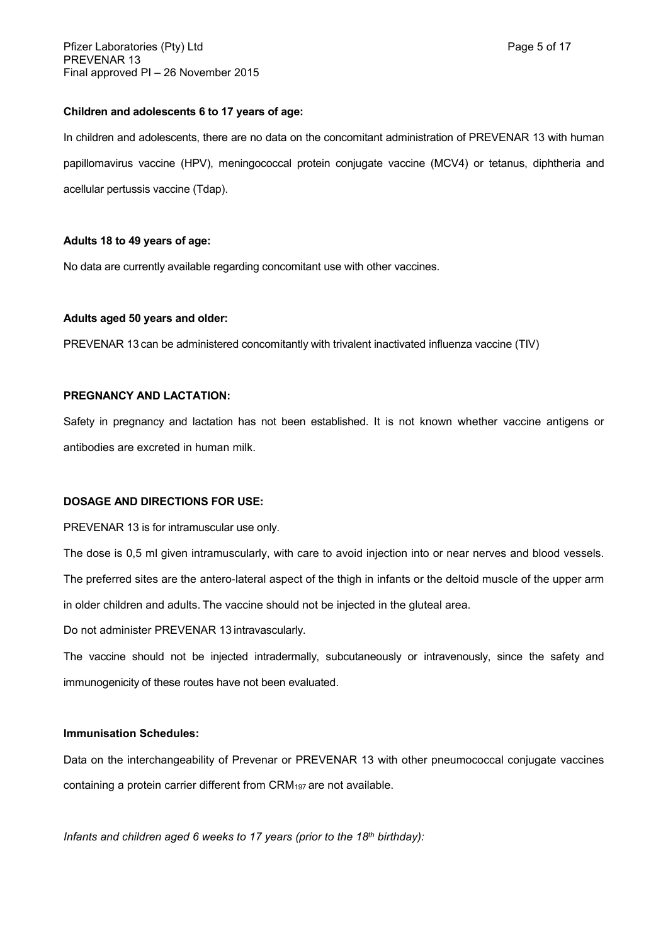### **Children and adolescents 6 to 17 years of age:**

In children and adolescents, there are no data on the concomitant administration of PREVENAR 13 with human papillomavirus vaccine (HPV), meningococcal protein conjugate vaccine (MCV4) or tetanus, diphtheria and acellular pertussis vaccine (Tdap).

### **Adults 18 to 49 years of age:**

No data are currently available regarding concomitant use with other vaccines.

### **Adults aged 50 years and older:**

PREVENAR 13 can be administered concomitantly with trivalent inactivated influenza vaccine (TIV)

### **PREGNANCY AND LACTATION:**

Safety in pregnancy and lactation has not been established. It is not known whether vaccine antigens or antibodies are excreted in human milk.

### **DOSAGE AND DIRECTIONS FOR USE:**

PREVENAR 13 is for intramuscular use only.

The dose is 0,5 ml given intramuscularly, with care to avoid injection into or near nerves and blood vessels. The preferred sites are the antero-lateral aspect of the thigh in infants or the deltoid muscle of the upper arm in older children and adults. The vaccine should not be injected in the gluteal area.

Do not administer PREVENAR 13 intravascularly.

The vaccine should not be injected intradermally, subcutaneously or intravenously, since the safety and immunogenicity of these routes have not been evaluated.

### **Immunisation Schedules:**

Data on the interchangeability of Prevenar or PREVENAR 13 with other pneumococcal conjugate vaccines containing a protein carrier different from CRM197 are not available.

*Infants and children aged 6 weeks to 17 years (prior to the 18th birthday):*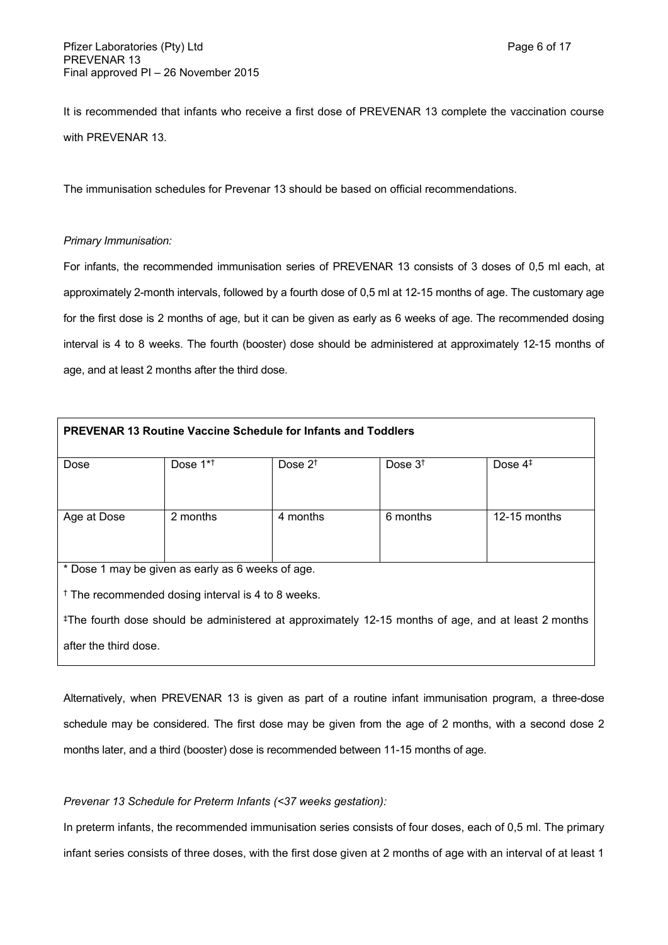It is recommended that infants who receive a first dose of PREVENAR 13 complete the vaccination course with PREVENAR 13.

The immunisation schedules for Prevenar 13 should be based on official recommendations.

### *Primary Immunisation:*

For infants, the recommended immunisation series of PREVENAR 13 consists of 3 doses of 0,5 ml each, at approximately 2-month intervals, followed by a fourth dose of 0,5 ml at 12-15 months of age. The customary age for the first dose is 2 months of age, but it can be given as early as 6 weeks of age. The recommended dosing interval is 4 to 8 weeks. The fourth (booster) dose should be administered at approximately 12-15 months of age, and at least 2 months after the third dose.

| <b>PREVENAR 13 Routine Vaccine Schedule for Infants and Toddlers</b>                                            |             |            |           |                |
|-----------------------------------------------------------------------------------------------------------------|-------------|------------|-----------|----------------|
| Dose                                                                                                            | Dose $1**+$ | Dose $2^+$ | Dose $3†$ | Dose $4‡$      |
|                                                                                                                 |             |            |           |                |
| Age at Dose                                                                                                     | 2 months    | 4 months   | 6 months  | $12-15$ months |
|                                                                                                                 |             |            |           |                |
| * Dose 1 may be given as early as 6 weeks of age.                                                               |             |            |           |                |
| $\dagger$ The recommended dosing interval is 4 to 8 weeks.                                                      |             |            |           |                |
| <sup>‡</sup> The fourth dose should be administered at approximately 12-15 months of age, and at least 2 months |             |            |           |                |
| after the third dose.                                                                                           |             |            |           |                |
|                                                                                                                 |             |            |           |                |

Alternatively, when PREVENAR 13 is given as part of a routine infant immunisation program, a three-dose schedule may be considered. The first dose may be given from the age of 2 months, with a second dose 2 months later, and a third (booster) dose is recommended between 11-15 months of age.

### *Prevenar 13 Schedule for Preterm Infants (<37 weeks gestation):*

In preterm infants, the recommended immunisation series consists of four doses, each of 0,5 ml. The primary infant series consists of three doses, with the first dose given at 2 months of age with an interval of at least 1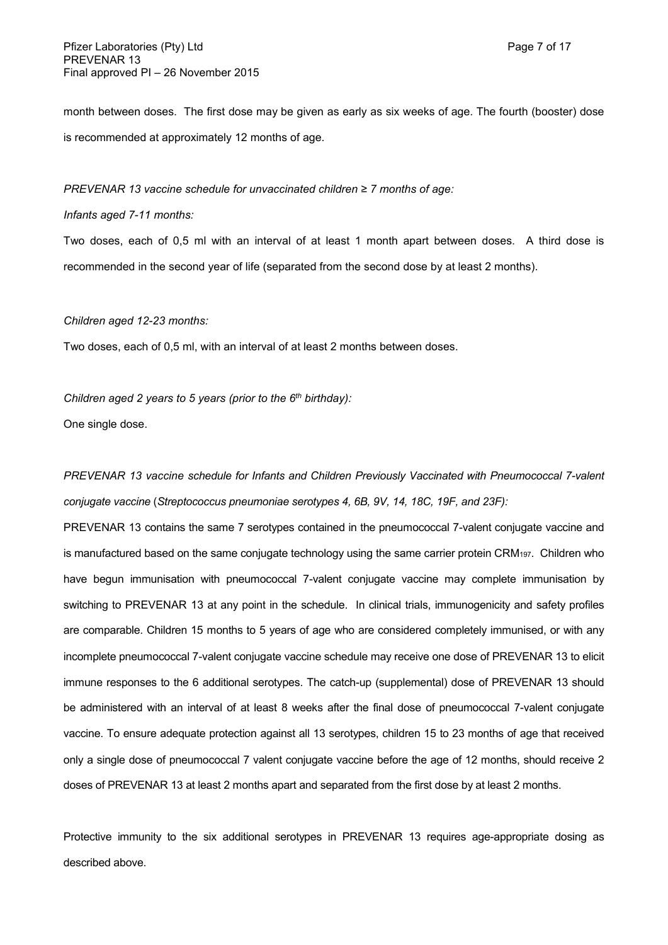month between doses. The first dose may be given as early as six weeks of age. The fourth (booster) dose is recommended at approximately 12 months of age.

*PREVENAR 13 vaccine schedule for unvaccinated children ≥ 7 months of age:*

### *Infants aged 7-11 months:*

Two doses, each of 0,5 ml with an interval of at least 1 month apart between doses. A third dose is recommended in the second year of life (separated from the second dose by at least 2 months).

#### *Children aged 12-23 months:*

Two doses, each of 0,5 ml, with an interval of at least 2 months between doses.

*Children aged 2 years to 5 years (prior to the 6th birthday):* One single dose.

*PREVENAR 13 vaccine schedule for Infants and Children Previously Vaccinated with Pneumococcal 7-valent conjugate vaccine* (*Streptococcus pneumoniae serotypes 4, 6B, 9V, 14, 18C, 19F, and 23F):*

PREVENAR 13 contains the same 7 serotypes contained in the pneumococcal 7-valent conjugate vaccine and is manufactured based on the same conjugate technology using the same carrier protein CRM<sub>197</sub>. Children who have begun immunisation with pneumococcal 7-valent conjugate vaccine may complete immunisation by switching to PREVENAR 13 at any point in the schedule. In clinical trials, immunogenicity and safety profiles are comparable. Children 15 months to 5 years of age who are considered completely immunised, or with any incomplete pneumococcal 7-valent conjugate vaccine schedule may receive one dose of PREVENAR 13 to elicit immune responses to the 6 additional serotypes. The catch-up (supplemental) dose of PREVENAR 13 should be administered with an interval of at least 8 weeks after the final dose of pneumococcal 7-valent conjugate vaccine. To ensure adequate protection against all 13 serotypes, children 15 to 23 months of age that received only a single dose of pneumococcal 7 valent conjugate vaccine before the age of 12 months, should receive 2 doses of PREVENAR 13 at least 2 months apart and separated from the first dose by at least 2 months.

Protective immunity to the six additional serotypes in PREVENAR 13 requires age-appropriate dosing as described above.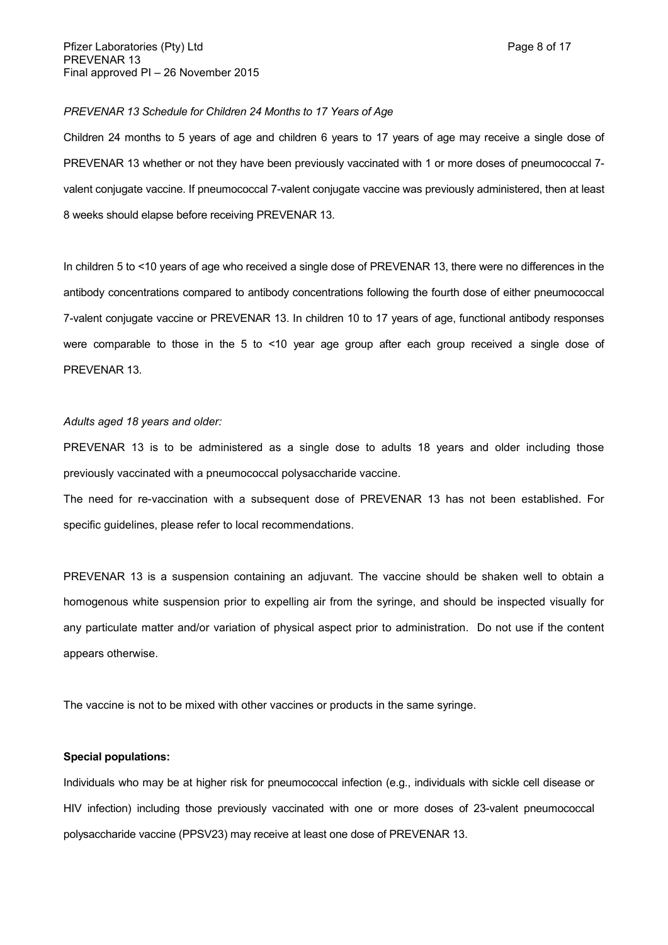### *PREVENAR 13 Schedule for Children 24 Months to 17 Years of Age*

Children 24 months to 5 years of age and children 6 years to 17 years of age may receive a single dose of PREVENAR 13 whether or not they have been previously vaccinated with 1 or more doses of pneumococcal 7valent conjugate vaccine. If pneumococcal 7-valent conjugate vaccine was previously administered, then at least 8 weeks should elapse before receiving PREVENAR 13.

In children 5 to <10 years of age who received a single dose of PREVENAR 13, there were no differences in the antibody concentrations compared to antibody concentrations following the fourth dose of either pneumococcal 7-valent conjugate vaccine or PREVENAR 13. In children 10 to 17 years of age, functional antibody responses were comparable to those in the 5 to <10 year age group after each group received a single dose of PREVENAR 13.

#### *Adults aged 18 years and older:*

PREVENAR 13 is to be administered as a single dose to adults 18 years and older including those previously vaccinated with a pneumococcal polysaccharide vaccine.

The need for re-vaccination with a subsequent dose of PREVENAR 13 has not been established. For specific guidelines, please refer to local recommendations.

PREVENAR 13 is a suspension containing an adjuvant. The vaccine should be shaken well to obtain a homogenous white suspension prior to expelling air from the syringe, and should be inspected visually for any particulate matter and/or variation of physical aspect prior to administration. Do not use if the content appears otherwise.

The vaccine is not to be mixed with other vaccines or products in the same syringe.

#### **Special populations:**

Individuals who may be at higher risk for pneumococcal infection (e.g., individuals with sickle cell disease or HIV infection) including those previously vaccinated with one or more doses of 23-valent pneumococcal polysaccharide vaccine (PPSV23) may receive at least one dose of PREVENAR 13.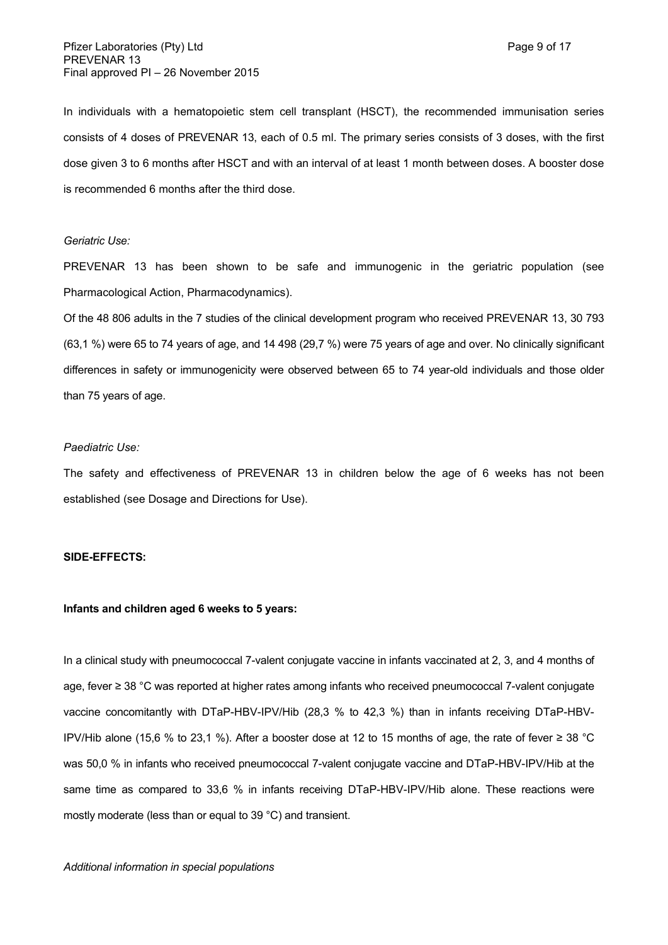In individuals with a hematopoietic stem cell transplant (HSCT), the recommended immunisation series consists of 4 doses of PREVENAR 13, each of 0.5 ml. The primary series consists of 3 doses, with the first dose given 3 to 6 months after HSCT and with an interval of at least 1 month between doses. A booster dose is recommended 6 months after the third dose.

### *Geriatric Use:*

PREVENAR 13 has been shown to be safe and immunogenic in the geriatric population (see Pharmacological Action, Pharmacodynamics).

Of the 48 806 adults in the 7 studies of the clinical development program who received PREVENAR 13, 30 793 (63,1 %) were 65 to 74 years of age, and 14 498 (29,7 %) were 75 years of age and over. No clinically significant differences in safety or immunogenicity were observed between 65 to 74 year-old individuals and those older than 75 years of age.

#### *Paediatric Use:*

The safety and effectiveness of PREVENAR 13 in children below the age of 6 weeks has not been established (see Dosage and Directions for Use).

#### **SIDE-EFFECTS:**

### **Infants and children aged 6 weeks to 5 years:**

In a clinical study with pneumococcal 7-valent conjugate vaccine in infants vaccinated at 2, 3, and 4 months of age, fever ≥ 38 °C was reported at higher rates among infants who received pneumococcal 7-valent conjugate vaccine concomitantly with DTaP-HBV-IPV/Hib (28,3 % to 42,3 %) than in infants receiving DTaP-HBV-IPV/Hib alone (15,6 % to 23,1 %). After a booster dose at 12 to 15 months of age, the rate of fever ≥ 38 °C was 50,0 % in infants who received pneumococcal 7-valent conjugate vaccine and DTaP-HBV-IPV/Hib at the same time as compared to 33,6 % in infants receiving DTaP-HBV-IPV/Hib alone. These reactions were mostly moderate (less than or equal to 39 °C) and transient.

#### *Additional information in special populations*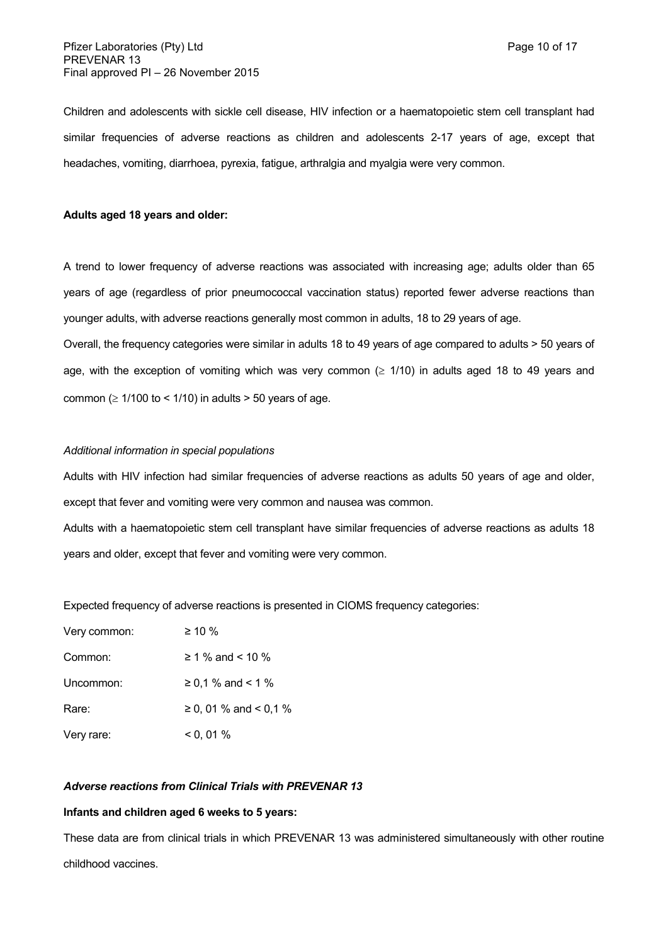Children and adolescents with sickle cell disease, HIV infection or a haematopoietic stem cell transplant had similar frequencies of adverse reactions as children and adolescents 2-17 years of age, except that headaches, vomiting, diarrhoea, pyrexia, fatigue, arthralgia and myalgia were very common.

### **Adults aged 18 years and older:**

A trend to lower frequency of adverse reactions was associated with increasing age; adults older than 65 years of age (regardless of prior pneumococcal vaccination status) reported fewer adverse reactions than younger adults, with adverse reactions generally most common in adults, 18 to 29 years of age.

Overall, the frequency categories were similar in adults 18 to 49 years of age compared to adults > 50 years of age, with the exception of vomiting which was very common  $( \geq 1/10)$  in adults aged 18 to 49 years and common ( $\geq 1/100$  to < 1/10) in adults > 50 years of age.

### *Additional information in special populations*

Adults with HIV infection had similar frequencies of adverse reactions as adults 50 years of age and older, except that fever and vomiting were very common and nausea was common.

Adults with a haematopoietic stem cell transplant have similar frequencies of adverse reactions as adults 18 years and older, except that fever and vomiting were very common.

Expected frequency of adverse reactions is presented in CIOMS frequency categories:

| Very common: | $\geq 10 \%$          |
|--------------|-----------------------|
| Common:      | $\geq 1$ % and < 10 % |
| Uncommon:    | ≥ 0,1 % and < 1 %     |
| Rare:        | ≥ 0, 01 % and < 0,1 % |
| Very rare:   | $<$ 0, 01 %           |

### *Adverse reactions from Clinical Trials with PREVENAR 13*

#### **Infants and children aged 6 weeks to 5 years:**

These data are from clinical trials in which PREVENAR 13 was administered simultaneously with other routine childhood vaccines.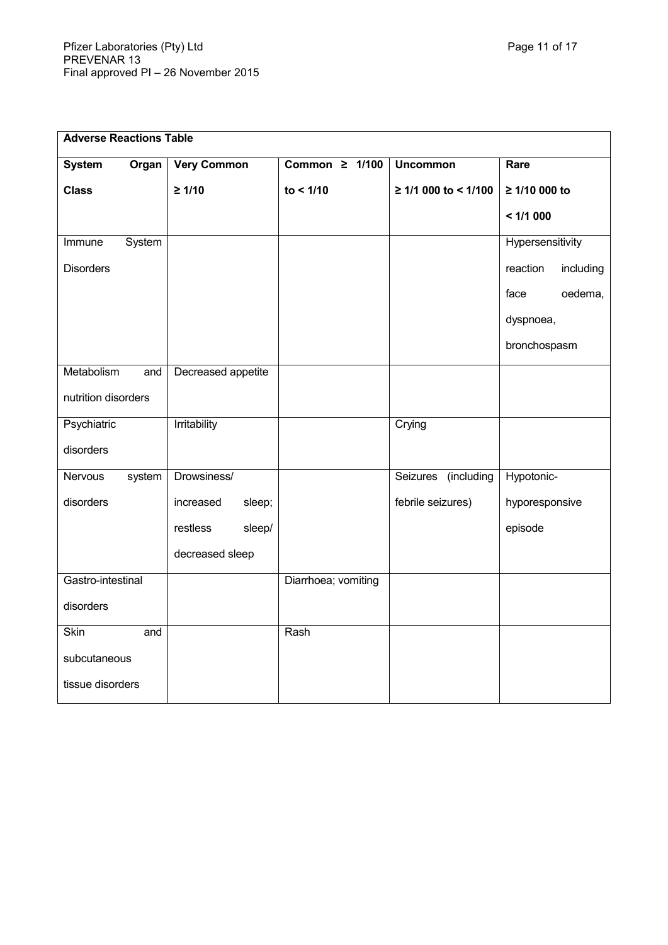| <b>Adverse Reactions Table</b> |        |                     |                     |                        |                       |
|--------------------------------|--------|---------------------|---------------------|------------------------|-----------------------|
| <b>System</b>                  | Organ  | <b>Very Common</b>  | Common $\geq 1/100$ | <b>Uncommon</b>        | Rare                  |
| <b>Class</b>                   |        | $\geq 1/10$         | to < 1/10           | ≥ 1/1 000 to < 1/100   | ≥ 1/10 000 to         |
|                                |        |                     |                     |                        | < 1/1000              |
| Immune                         | System |                     |                     |                        | Hypersensitivity      |
| <b>Disorders</b>               |        |                     |                     |                        | reaction<br>including |
|                                |        |                     |                     |                        | oedema,<br>face       |
|                                |        |                     |                     |                        | dyspnoea,             |
|                                |        |                     |                     |                        | bronchospasm          |
| Metabolism                     | and    | Decreased appetite  |                     |                        |                       |
| nutrition disorders            |        |                     |                     |                        |                       |
| Psychiatric                    |        | Irritability        |                     | Crying                 |                       |
| disorders                      |        |                     |                     |                        |                       |
| Nervous                        | system | Drowsiness/         |                     | Seizures<br>(including | Hypotonic-            |
| disorders                      |        | sleep;<br>increased |                     | febrile seizures)      | hyporesponsive        |
|                                |        | restless<br>sleep/  |                     |                        | episode               |
|                                |        | decreased sleep     |                     |                        |                       |
| Gastro-intestinal              |        |                     | Diarrhoea; vomiting |                        |                       |
| disorders                      |        |                     |                     |                        |                       |
| <b>Skin</b>                    | and    |                     | Rash                |                        |                       |
| subcutaneous                   |        |                     |                     |                        |                       |
| tissue disorders               |        |                     |                     |                        |                       |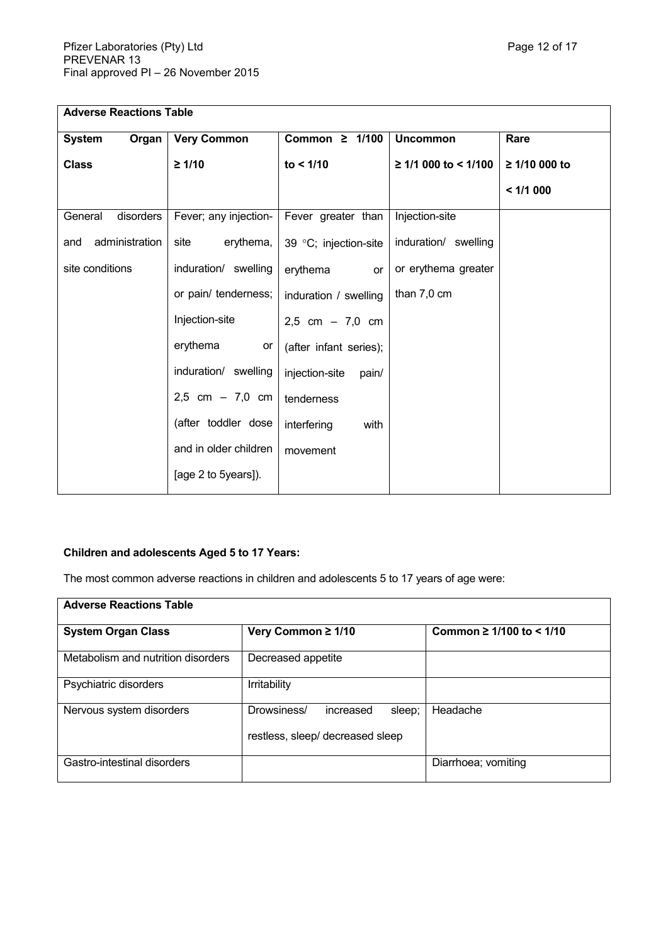| <b>Adverse Reactions Table</b> |                       |                         |                           |               |
|--------------------------------|-----------------------|-------------------------|---------------------------|---------------|
| <b>System</b><br>Organ         | <b>Very Common</b>    | Common $\geq 1/100$     | <b>Uncommon</b>           | Rare          |
| <b>Class</b>                   | $\geq 1/10$           | to < 1/10               | $\geq$ 1/1 000 to < 1/100 | ≥ 1/10 000 to |
|                                |                       |                         |                           | < 1/1000      |
| disorders<br>General           | Fever; any injection- | Fever greater than      | Injection-site            |               |
| administration<br>and          | erythema,<br>site     | 39 °C; injection-site   | induration/ swelling      |               |
| site conditions                | induration/ swelling  | erythema<br>or          | or erythema greater       |               |
|                                | or pain/ tenderness;  | induration / swelling   | than 7,0 cm               |               |
|                                | Injection-site        | $2,5$ cm $-7,0$ cm      |                           |               |
|                                | erythema<br>or        | (after infant series);  |                           |               |
|                                | induration/ swelling  | injection-site<br>pain/ |                           |               |
|                                | 2,5 cm $- 7,0$ cm     | tenderness              |                           |               |
|                                | (after toddler dose   | interfering<br>with     |                           |               |
|                                | and in older children | movement                |                           |               |
|                                | [age 2 to 5years]).   |                         |                           |               |

# **Children and adolescents Aged 5 to 17 Years:**

The most common adverse reactions in children and adolescents 5 to 17 years of age were:

| <b>Adverse Reactions Table</b>     |                                                                        |                               |  |
|------------------------------------|------------------------------------------------------------------------|-------------------------------|--|
| <b>System Organ Class</b>          | Very Common ≥ 1/10                                                     | Common $\geq 1/100$ to < 1/10 |  |
| Metabolism and nutrition disorders | Decreased appetite                                                     |                               |  |
| Psychiatric disorders              | Irritability                                                           |                               |  |
| Nervous system disorders           | Drowsiness/<br>sleep;<br>increased<br>restless, sleep/ decreased sleep | Headache                      |  |
| Gastro-intestinal disorders        |                                                                        | Diarrhoea; vomiting           |  |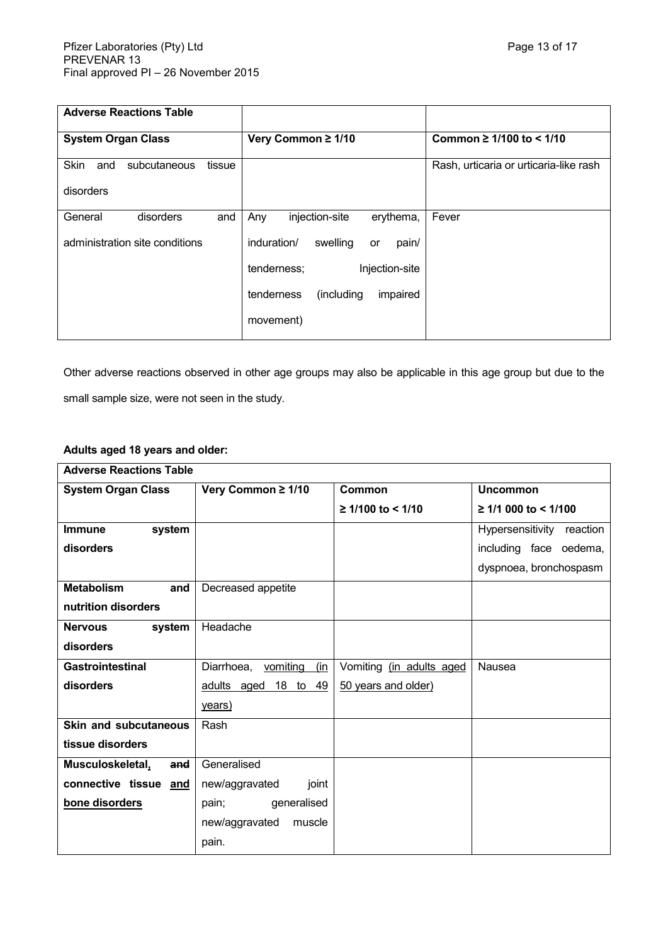| <b>Adverse Reactions Table</b>        |                                        |                                        |
|---------------------------------------|----------------------------------------|----------------------------------------|
| <b>System Organ Class</b>             | Very Common ≥ 1/10                     | Common $\geq 1/100$ to $\leq 1/10$     |
| Skin<br>subcutaneous<br>tissue<br>and |                                        | Rash, urticaria or urticaria-like rash |
| disorders                             |                                        |                                        |
| General<br>disorders<br>and           | Any<br>injection-site<br>erythema,     | Fever                                  |
| administration site conditions        | induration/<br>swelling<br>pain/<br>or |                                        |
|                                       | Injection-site<br>tenderness;          |                                        |
|                                       | (including<br>impaired<br>tenderness   |                                        |
|                                       | movement)                              |                                        |

Other adverse reactions observed in other age groups may also be applicable in this age group but due to the small sample size, were not seen in the study.

# **Adults aged 18 years and older:**

| <b>Adverse Reactions Table</b> |                                   |                          |                           |
|--------------------------------|-----------------------------------|--------------------------|---------------------------|
| <b>System Organ Class</b>      | Very Common ≥ 1/10                | Common                   | <b>Uncommon</b>           |
|                                |                                   | $≥ 1/100$ to < 1/10      | ≥ 1/1 000 to < 1/100      |
| <b>Immune</b><br>system        |                                   |                          | Hypersensitivity reaction |
| disorders                      |                                   |                          | including face oedema,    |
|                                |                                   |                          | dyspnoea, bronchospasm    |
| <b>Metabolism</b><br>and       | Decreased appetite                |                          |                           |
| nutrition disorders            |                                   |                          |                           |
| <b>Nervous</b><br>system       | Headache                          |                          |                           |
| disorders                      |                                   |                          |                           |
| <b>Gastrointestinal</b>        | Diarrhoea,<br>vomiting<br>(in     | Vomiting (in adults aged | Nausea                    |
| disorders                      | <u>18</u> to<br>49<br>adults aged | 50 years and older)      |                           |
|                                | years)                            |                          |                           |
| <b>Skin and subcutaneous</b>   | Rash                              |                          |                           |
| tissue disorders               |                                   |                          |                           |
| Musculoskeletal,<br>and        | Generalised                       |                          |                           |
| connective tissue and          | new/aggravated<br>joint           |                          |                           |
| bone disorders                 | generalised<br>pain;              |                          |                           |
|                                | new/aggravated<br>muscle          |                          |                           |
|                                | pain.                             |                          |                           |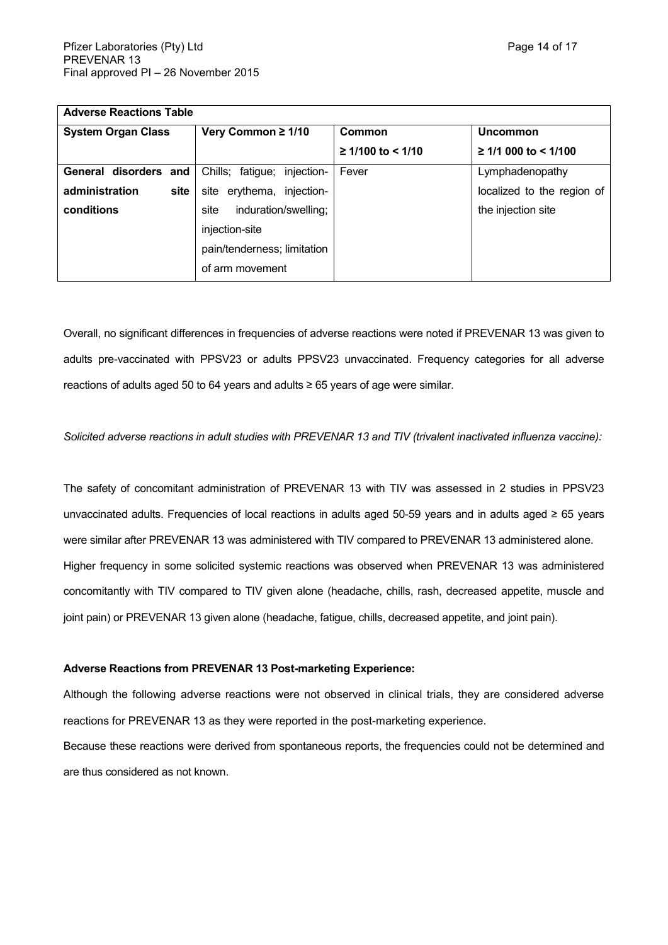| <b>Adverse Reactions Table</b> |                                |                     |                            |
|--------------------------------|--------------------------------|---------------------|----------------------------|
| <b>System Organ Class</b>      | Very Common ≥ 1/10             | Common              | Uncommon                   |
|                                |                                | $≥ 1/100$ to < 1/10 | $≥ 1/1000$ to < 1/100      |
| General disorders and          | injection-<br>Chills; fatigue; | Fever               | Lymphadenopathy            |
| administration<br>site         | site erythema, injection-      |                     | localized to the region of |
| conditions                     | induration/swelling;<br>site   |                     | the injection site         |
|                                | injection-site                 |                     |                            |
|                                | pain/tenderness; limitation    |                     |                            |
|                                | of arm movement                |                     |                            |

Overall, no significant differences in frequencies of adverse reactions were noted if PREVENAR 13 was given to adults pre-vaccinated with PPSV23 or adults PPSV23 unvaccinated. Frequency categories for all adverse reactions of adults aged 50 to 64 years and adults ≥ 65 years of age were similar.

*Solicited adverse reactions in adult studies with PREVENAR 13 and TIV (trivalent inactivated influenza vaccine):*

The safety of concomitant administration of PREVENAR 13 with TIV was assessed in 2 studies in PPSV23 unvaccinated adults. Frequencies of local reactions in adults aged 50-59 years and in adults aged ≥ 65 years were similar after PREVENAR 13 was administered with TIV compared to PREVENAR 13 administered alone. Higher frequency in some solicited systemic reactions was observed when PREVENAR 13 was administered concomitantly with TIV compared to TIV given alone (headache, chills, rash, decreased appetite, muscle and joint pain) or PREVENAR 13 given alone (headache, fatigue, chills, decreased appetite, and joint pain).

### **Adverse Reactions from PREVENAR 13 Post-marketing Experience:**

Although the following adverse reactions were not observed in clinical trials, they are considered adverse reactions for PREVENAR 13 as they were reported in the post-marketing experience.

Because these reactions were derived from spontaneous reports, the frequencies could not be determined and are thus considered as not known.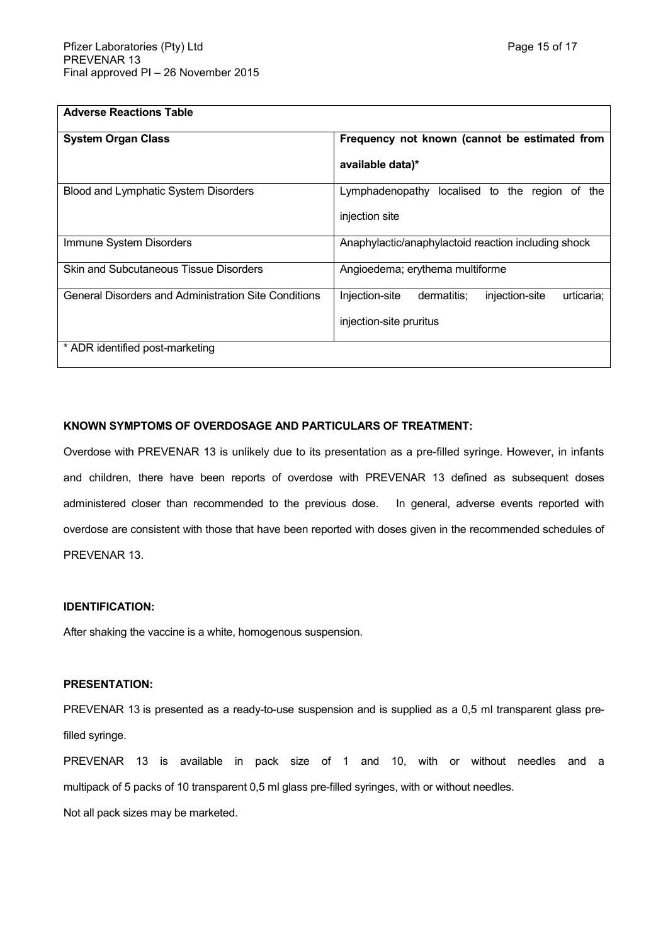| <b>Adverse Reactions Table</b>                       |                                                               |
|------------------------------------------------------|---------------------------------------------------------------|
| <b>System Organ Class</b>                            | Frequency not known (cannot be estimated from                 |
|                                                      | available data)*                                              |
| <b>Blood and Lymphatic System Disorders</b>          | Lymphadenopathy localised to the region of the                |
|                                                      | injection site                                                |
| Immune System Disorders                              | Anaphylactic/anaphylactoid reaction including shock           |
| <b>Skin and Subcutaneous Tissue Disorders</b>        | Angioedema; erythema multiforme                               |
| General Disorders and Administration Site Conditions | Injection-site<br>dermatitis:<br>injection-site<br>urticaria: |
|                                                      | injection-site pruritus                                       |
| * ADR identified post-marketing                      |                                                               |

### **KNOWN SYMPTOMS OF OVERDOSAGE AND PARTICULARS OF TREATMENT:**

Overdose with PREVENAR 13 is unlikely due to its presentation as a pre-filled syringe. However, in infants and children, there have been reports of overdose with PREVENAR 13 defined as subsequent doses administered closer than recommended to the previous dose. In general, adverse events reported with overdose are consistent with those that have been reported with doses given in the recommended schedules of PREVENAR 13.

### **IDENTIFICATION:**

After shaking the vaccine is a white, homogenous suspension.

### **PRESENTATION:**

PREVENAR 13 is presented as a ready-to-use suspension and is supplied as a 0,5 ml transparent glass prefilled syringe.

PREVENAR 13 is available in pack size of 1 and 10, with or without needles and a multipack of 5 packs of 10 transparent 0,5 ml glass pre-filled syringes, with or without needles.

Not all pack sizes may be marketed.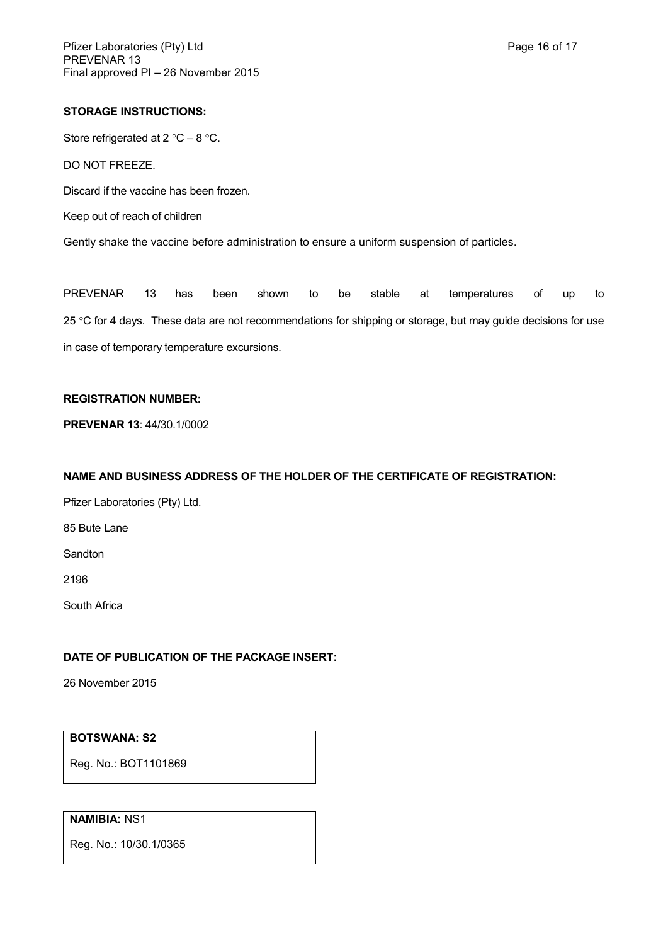### **STORAGE INSTRUCTIONS:**

Store refrigerated at  $2^{\circ}C - 8^{\circ}C$ .

DO NOT FREEZE.

Discard if the vaccine has been frozen.

Keep out of reach of children

Gently shake the vaccine before administration to ensure a uniform suspension of particles.

PREVENAR 13 has been shown to be stable at temperatures of up to 25 °C for 4 days. These data are not recommendations for shipping or storage, but may guide decisions for use in case of temporary temperature excursions.

### **REGISTRATION NUMBER:**

**PREVENAR 13**: 44/30.1/0002

## **NAME AND BUSINESS ADDRESS OF THE HOLDER OF THE CERTIFICATE OF REGISTRATION:**

Pfizer Laboratories (Pty) Ltd.

85 Bute Lane

Sandton

2196

South Africa

# **DATE OF PUBLICATION OF THE PACKAGE INSERT:**

26 November 2015

### **BOTSWANA: S2**

Reg. No.: BOT1101869

# **NAMIBIA:** NS1

Reg. No.: 10/30.1/0365